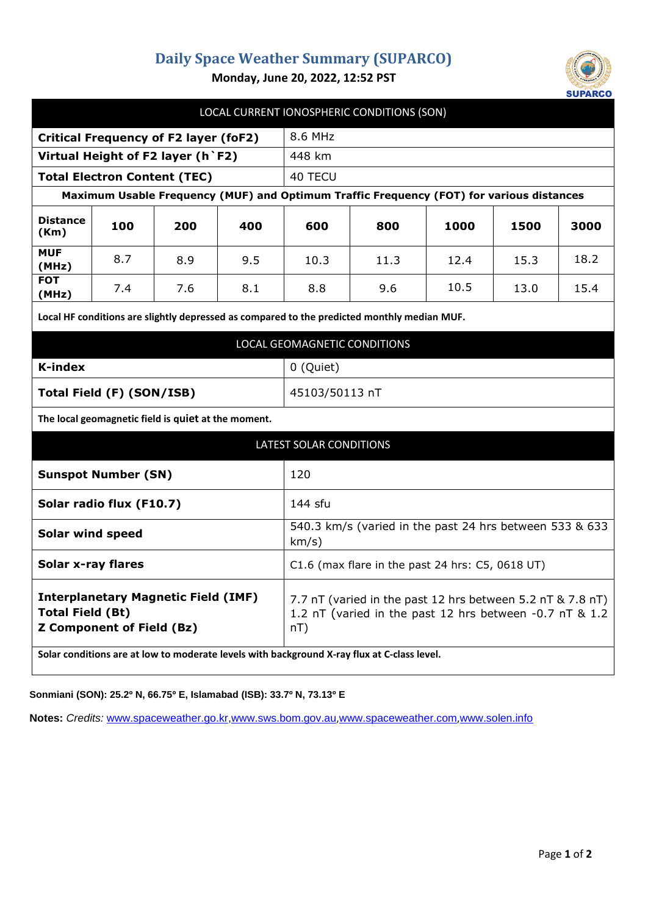## **Daily Space Weather Summary (SUPARCO)**



**Monday, June 20, 2022, 12:52 PST**

| LOCAL CURRENT IONOSPHERIC CONDITIONS (SON)                                                                |     |     |     |                                                                                                                                 |      |      |      |      |
|-----------------------------------------------------------------------------------------------------------|-----|-----|-----|---------------------------------------------------------------------------------------------------------------------------------|------|------|------|------|
| <b>Critical Frequency of F2 layer (foF2)</b>                                                              |     |     |     | 8.6 MHz                                                                                                                         |      |      |      |      |
| Virtual Height of F2 layer (h `F2)                                                                        |     |     |     | 448 km                                                                                                                          |      |      |      |      |
| <b>Total Electron Content (TEC)</b>                                                                       |     |     |     | 40 TECU                                                                                                                         |      |      |      |      |
| Maximum Usable Frequency (MUF) and Optimum Traffic Frequency (FOT) for various distances                  |     |     |     |                                                                                                                                 |      |      |      |      |
| <b>Distance</b><br>(Km)                                                                                   | 100 | 200 | 400 | 600                                                                                                                             | 800  | 1000 | 1500 | 3000 |
| <b>MUF</b><br>(MHz)                                                                                       | 8.7 | 8.9 | 9.5 | 10.3                                                                                                                            | 11.3 | 12.4 | 15.3 | 18.2 |
| <b>FOT</b><br>(MHz)                                                                                       | 7.4 | 7.6 | 8.1 | 8.8                                                                                                                             | 9.6  | 10.5 | 13.0 | 15.4 |
| Local HF conditions are slightly depressed as compared to the predicted monthly median MUF.               |     |     |     |                                                                                                                                 |      |      |      |      |
| LOCAL GEOMAGNETIC CONDITIONS                                                                              |     |     |     |                                                                                                                                 |      |      |      |      |
| <b>K-index</b>                                                                                            |     |     |     | 0 (Quiet)                                                                                                                       |      |      |      |      |
| Total Field (F) (SON/ISB)                                                                                 |     |     |     | 45103/50113 nT                                                                                                                  |      |      |      |      |
| The local geomagnetic field is quiet at the moment.                                                       |     |     |     |                                                                                                                                 |      |      |      |      |
| LATEST SOLAR CONDITIONS                                                                                   |     |     |     |                                                                                                                                 |      |      |      |      |
| <b>Sunspot Number (SN)</b>                                                                                |     |     |     | 120                                                                                                                             |      |      |      |      |
| Solar radio flux (F10.7)                                                                                  |     |     |     | 144 sfu                                                                                                                         |      |      |      |      |
| <b>Solar wind speed</b>                                                                                   |     |     |     | 540.3 km/s (varied in the past 24 hrs between 533 & 633<br>km/s)                                                                |      |      |      |      |
| <b>Solar x-ray flares</b>                                                                                 |     |     |     | $C1.6$ (max flare in the past 24 hrs: $C5$ , 0618 UT)                                                                           |      |      |      |      |
| <b>Interplanetary Magnetic Field (IMF)</b><br><b>Total Field (Bt)</b><br><b>Z Component of Field (Bz)</b> |     |     |     | 7.7 nT (varied in the past 12 hrs between 5.2 nT & 7.8 nT)<br>1.2 nT (varied in the past 12 hrs between -0.7 nT & 1.2<br>$nT$ ) |      |      |      |      |
| Solar conditions are at low to moderate levels with background X-ray flux at C-class level.               |     |     |     |                                                                                                                                 |      |      |      |      |

**Sonmiani (SON): 25.2º N, 66.75º E, Islamabad (ISB): 33.7º N, 73.13º E**

**Notes:** *Credits:* [www.spaceweather.go.kr,](http://www.spaceweather.go.kr/)[www.sws.bom.gov.au](http://www.sws.bom.gov.au/),[www.spaceweather.com](http://www.spaceweather.com/),[www.solen.info](http://www.solen.info/)